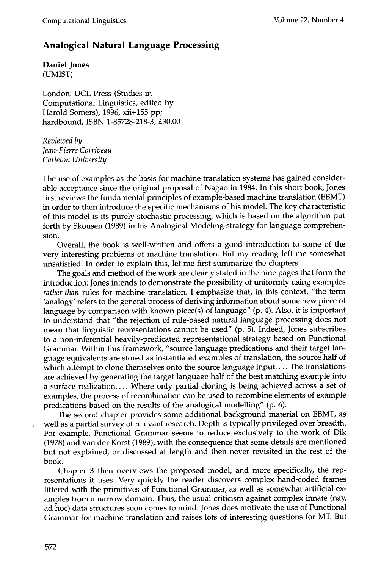## **Analogical Natural Language Processing**

**Daniel Jones**  (UMIST)

London: UCL Press (Studies in Computational Linguistics, edited by Harold Somers), 1996, xii+155 pp; hardbound, ISBN 1-85728-218-3, £30.00

*Reviewed by Jean-Pierre Corriveau Carleton University* 

The use of examples as the basis for machine translation systems has gained considerable acceptance since the original proposal of Nagao in 1984. In this short book, Jones first reviews the fundamental principles of example-based machine translation (EBMT) in order to then introduce the specific mechanisms of his model. The key characteristic of this model is its purely stochastic processing, which is based on the algorithm put forth by Skousen (1989) in his Analogical Modeling strategy for language comprehension.

Overall, the book is well-written and offers a good introduction to some of the very interesting problems of machine translation. But my reading left me somewhat unsatisfied. In order to explain this, let me first summarize the chapters.

The goals and method of the work are clearly stated in the nine pages that form the introduction: Jones intends to demonstrate the possibility of uniformly using examples *rather than* rules for machine translation. I emphasize that, in this context, "the term 'analogy' refers to the general process of deriving information about some new piece of language by comparison with known piece(s) of language" (p. 4). Also, it is important to understand that "the rejection of rule-based natural language processing does not mean that linguistic representations cannot be used" (p. 5). Indeed, Jones subscribes to a non-inferential heavily-predicated representational strategy based on Functional Grammar. Within this framework, "source language predications and their target language equivalents are stored as instantiated examples of translation, the source half of which attempt to clone themselves onto the source language input.... The translations are achieved by generating the target language half of the best matching example into a surface realization.... Where only partial cloning is being achieved across a set of examples, the process of recombination can be used to recombine elements of example predications based on the results of the analogical modelling" (p. 6).

The second chapter provides some additional background material on EBMT, as well as a partial survey of relevant research. Depth is typically privileged over breadth. For example, Functional Grammar seems to reduce exclusively to the work of Dik (1978) and van der Korst (1989), with the consequence that some details are mentioned but not explained, or discussed at length and then never revisited in the rest of the book.

Chapter 3 then overviews the proposed model, and more specifically, the representations it uses. Very quickly the reader discovers complex hand-coded frames littered with the primitives of Functional Grammar, as well as somewhat artificial examples from a narrow domain. Thus, the usual criticism against complex innate (nay, ad hoc) data structures soon comes to mind. Jones does motivate the use of Functional Grammar for machine translation and raises lots of interesting questions for MT. But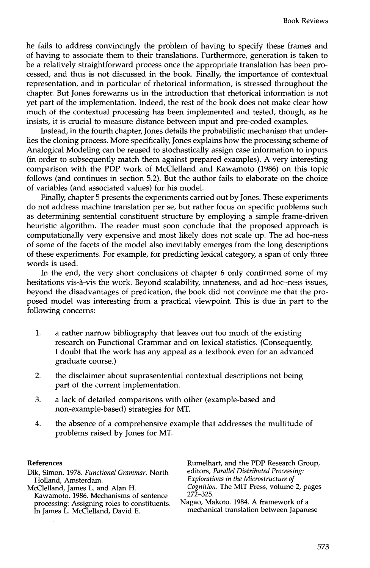he fails to address convincingly the problem of having to specify these frames and of having to associate them to their translations. Furthermore, generation is taken to be a relatively straightforward process once the appropriate translation has been processed, and thus is not discussed in the book. Finally, the importance of contextual representation, and in particular of rhetorical information, is stressed throughout the chapter. But Jones forewarns us in the introduction that rhetorical information is not yet part of the implementation. Indeed, the rest of the book does not make clear how much of the contextual processing has been implemented and tested, though, as he insists, it is crucial to measure distance between input and pre-coded examples.

Instead, in the fourth chapter, Jones details the probabilistic mechanism that underlies the cloning process. More specifically, Jones explains how the processing scheme of Analogical Modeling can be reused to stochastically assign case information to inputs (in order to subsequently match them against prepared examples). A very interesting comparison with the PDP work of McClelland and Kawamoto (1986) on this topic follows (and continues in section 5.2). But the author fails to elaborate on the choice of variables (and associated values) for his model.

Finally, chapter 5 presents the experiments carried out by Jones. These experiments do not address machine translation per se, but rather focus on specific problems such as determining sentential constituent structure by employing a simple frame-driven heuristic algorithm. The reader must soon conclude that the proposed approach is computationally very expensive and most likely does not scale up. The ad hoc-ness of some of the facets of the model also inevitably emerges from the long descriptions of these experiments. For example, for predicting lexical category, a span of only three words is used.

In the end, the very short conclusions of chapter 6 only confirmed some of my hesitations vis-a-vis the work. Beyond scalability, innateness, and ad hoc-ness issues, beyond the disadvantages of predication, the book did not convince me that the proposed model was interesting from a practical viewpoint. This is due in part to the following concerns:

- . a rather narrow bibliography that leaves out too much of the existing research on Functional Grammar and on lexical statistics. (Consequently, I doubt that the work has any appeal as a textbook even for an advanced graduate course.)
- 2. the disclaimer about suprasentential contextual descriptions not being part of the current implementation.
- 3. a lack of detailed comparisons with other (example-based and non-example-based) strategies for MT.
- . the absence of a comprehensive example that addresses the multitude of problems raised by Jones for MT.

## **References**

Dik, Simon. 1978. *Functional Grammar.* North Holland, Amsterdam.

McClelland, James L. and Alan H. Kawamoto. 1986. Mechanisms of sentence processing: Assigning roles to constituents. In James L. McClelland, David E.

Rumelhart, and the PDP Research Group, editors, *Parallel Distributed Processing: Explorations in the Microstructure of Cognition. The* MIT Press, volume 2, pages 272-325.

Nagao, Makoto. 1984. A framework of a mechanical translation between Japanese